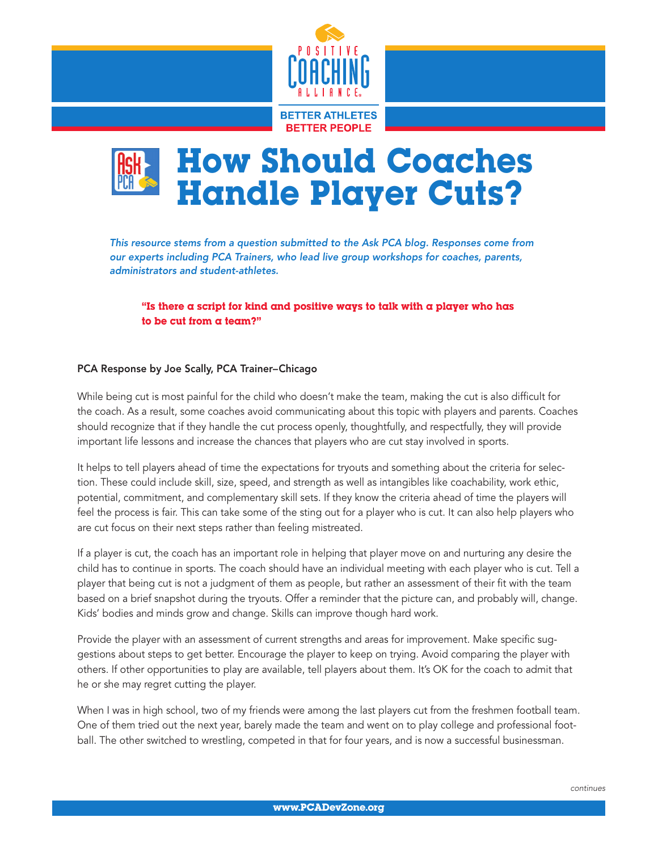



*This resource stems from a question submitted to the Ask PCA blog. Responses come from our experts including PCA Trainers, who lead live group workshops for coaches, parents, administrators and student-athletes.*

"Is there a script for kind and positive ways to talk with a player who has to be cut from a team?"

## PCA Response by Joe Scally, PCA Trainer–Chicago

While being cut is most painful for the child who doesn't make the team, making the cut is also difficult for the coach. As a result, some coaches avoid communicating about this topic with players and parents. Coaches should recognize that if they handle the cut process openly, thoughtfully, and respectfully, they will provide important life lessons and increase the chances that players who are cut stay involved in sports.

It helps to tell players ahead of time the expectations for tryouts and something about the criteria for selection. These could include skill, size, speed, and strength as well as intangibles like coachability, work ethic, potential, commitment, and complementary skill sets. If they know the criteria ahead of time the players will feel the process is fair. This can take some of the sting out for a player who is cut. It can also help players who are cut focus on their next steps rather than feeling mistreated.

If a player is cut, the coach has an important role in helping that player move on and nurturing any desire the child has to continue in sports. The coach should have an individual meeting with each player who is cut. Tell a player that being cut is not a judgment of them as people, but rather an assessment of their fit with the team based on a brief snapshot during the tryouts. Offer a reminder that the picture can, and probably will, change. Kids' bodies and minds grow and change. Skills can improve though hard work.

Provide the player with an assessment of current strengths and areas for improvement. Make specific suggestions about steps to get better. Encourage the player to keep on trying. Avoid comparing the player with others. If other opportunities to play are available, tell players about them. It's OK for the coach to admit that he or she may regret cutting the player.

When I was in high school, two of my friends were among the last players cut from the freshmen football team. One of them tried out the next year, barely made the team and went on to play college and professional football. The other switched to wrestling, competed in that for four years, and is now a successful businessman.